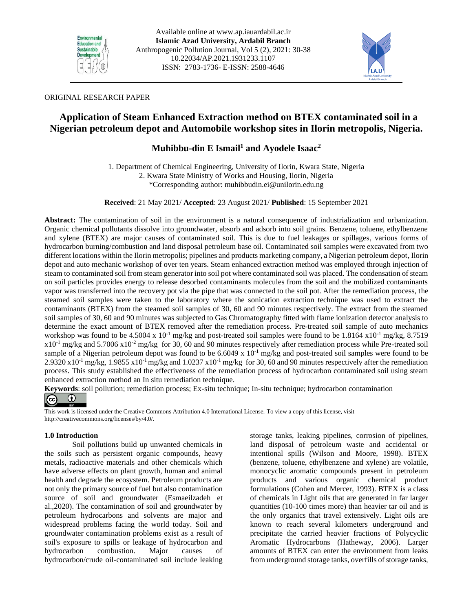



# ORIGINAL RESEARCH PAPER

# **Application of Steam Enhanced Extraction method on BTEX contaminated soil in a Nigerian petroleum depot and Automobile workshop sites in Ilorin metropolis, Nigeria.**

# **Muhibbu-din E Ismail<sup>1</sup> and Ayodele Isaac<sup>2</sup>**

1. Department of Chemical Engineering, University of Ilorin, Kwara State, Nigeria 2. Kwara State Ministry of Works and Housing, Ilorin, Nigeria \*Corresponding author: [muhibbudin.ei@unilorin.edu.ng](mailto:muhibbudin.ei@unilorin.edu.ng)

**Received**: 21 May 2021/ **Accepted**: 23 August 2021/ **Published**: 15 September 2021

**Abstract:** The contamination of soil in the environment is a natural consequence of industrialization and urbanization. Organic chemical pollutants dissolve into groundwater, absorb and adsorb into soil grains. Benzene, toluene, ethylbenzene and xylene (BTEX) are major causes of contaminated soil. This is due to fuel leakages or spillages, various forms of hydrocarbon burning/combustion and land disposal petroleum base oil. Contaminated soil samples were excavated from two different locations within the Ilorin metropolis; pipelines and products marketing company, a Nigerian petroleum depot, Ilorin depot and auto mechanic workshop of over ten years. Steam enhanced extraction method was employed through injection of steam to contaminated soil from steam generator into soil pot where contaminated soil was placed. The condensation of steam on soil particles provides energy to release desorbed contaminants molecules from the soil and the mobilized contaminants vapor was transferred into the recovery pot via the pipe that was connected to the soil pot. After the remediation process, the steamed soil samples were taken to the laboratory where the sonication extraction technique was used to extract the contaminants (BTEX) from the steamed soil samples of 30, 60 and 90 minutes respectively. The extract from the steamed soil samples of 30, 60 and 90 minutes was subjected to Gas Chromatography fitted with flame ionization detector analysis to determine the exact amount of BTEX removed after the remediation process. Pre-treated soil sample of auto mechanics workshop was found to be 4.5004 x 10<sup>-1</sup> mg/kg and post-treated soil samples were found to be 1.8164 x10<sup>-1</sup> mg/kg, 8.7519  $x10^{-1}$  mg/kg and 5.7006  $x10^{-2}$  mg/kg for 30, 60 and 90 minutes respectively after remediation process while Pre-treated soil sample of a Nigerian petroleum depot was found to be  $6.6049 \times 10^{-1}$  mg/kg and post-treated soil samples were found to be 2.9320 x10<sup>-1</sup> mg/kg, 1.9855 x10<sup>-1</sup> mg/kg and 1.0237 x10<sup>-1</sup> mg/kg for 30, 60 and 90 minutes respectively after the remediation process. This study established the effectiveness of the remediation process of hydrocarbon contaminated soil using steam enhanced extraction method an In situ remediation technique.

**Keywords**: soil pollution; remediation process; Ex-situ technique; In-situ technique; hydrocarbon contamination



This work is licensed under the Creative Commons Attribution 4.0 International License. To view a copy of this license, visit http://creativecommons.org/licenses/by/4.0/.

# **1.0 Introduction**

Soil pollutions build up unwanted chemicals in the soils such as persistent organic compounds, heavy metals, radioactive materials and other chemicals which have adverse effects on plant growth, human and animal health and degrade the ecosystem. Petroleum products are not only the primary source of fuel but also contamination source of soil and groundwater (Esmaeilzadeh et al.,2020). The contamination of soil and groundwater by petroleum hydrocarbons and solvents are major and widespread problems facing the world today. Soil and groundwater contamination problems exist as a result of soil's exposure to spills or leakage of hydrocarbon and hydrocarbon combustion. Major causes of hydrocarbon/crude oil-contaminated soil include leaking

storage tanks, leaking pipelines, corrosion of pipelines, land disposal of petroleum waste and accidental or intentional spills (Wilson and Moore, 1998). BTEX (benzene, toluene, ethylbenzene and xylene) are volatile, monocyclic aromatic compounds present in petroleum products and various organic chemical product formulations (Cohen and Mercer, 1993). BTEX is a class of chemicals in Light oils that are generated in far larger quantities (10-100 times more) than heavier tar oil and is the only organics that travel extensively. Light oils are known to reach several kilometers underground and precipitate the carried heavier fractions of Polycyclic Aromatic Hydrocarbons (Hatheway, 2006). Larger amounts of BTEX can enter the environment from leaks from underground storage tanks, overfills of storage tanks,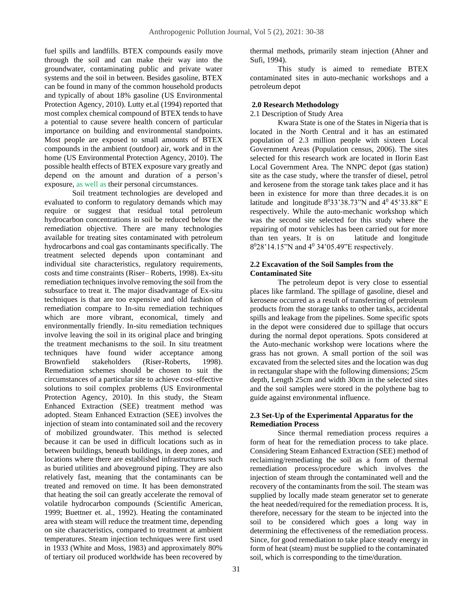fuel spills and landfills. BTEX compounds easily move through the soil and can make their way into the groundwater, contaminating public and private water systems and the soil in between. Besides gasoline, BTEX can be found in many of the common household products and typically of about 18% gasoline (US Environmental Protection Agency, 2010). Lutty et.al (1994) reported that most complex chemical compound of BTEX tends to have a potential to cause severe health concern of particular importance on building and environmental standpoints. Most people are exposed to small amounts of BTEX compounds in the ambient (outdoor) air, work and in the home (US Environmental Protection Agency, 2010). The possible health effects of BTEX exposure vary greatly and depend on the amount and duration of a person's exposure, as well as their personal circumstances.

Soil treatment technologies are developed and evaluated to conform to regulatory demands which may require or suggest that residual total petroleum hydrocarbon concentrations in soil be reduced below the remediation objective. There are many technologies available for treating sites contaminated with petroleum hydrocarbons and coal gas contaminants specifically. The treatment selected depends upon contaminant and individual site characteristics, regulatory requirements, costs and time constraints (Riser– Roberts, 1998). Ex-situ remediation techniques involve removing the soil from the subsurface to treat it. The major disadvantage of Ex-situ techniques is that are too expensive and old fashion of remediation compare to In-situ remediation techniques which are more vibrant, economical, timely and environmentally friendly. In-situ remediation techniques involve leaving the soil in its original place and bringing the treatment mechanisms to the soil. In situ treatment techniques have found wider acceptance among Brownfield stakeholders (Riser-Roberts, 1998). Remediation schemes should be chosen to suit the circumstances of a particular site to achieve cost-effective solutions to soil complex problems (US Environmental Protection Agency, 2010). In this study, the Steam Enhanced Extraction (SEE) treatment method was adopted. Steam Enhanced Extraction (SEE) involves the injection of steam into contaminated soil and the recovery of mobilized groundwater. This method is selected because it can be used in difficult locations such as in between buildings, beneath buildings, in deep zones, and locations where there are established infrastructures such as buried utilities and aboveground piping. They are also relatively fast, meaning that the contaminants can be treated and removed on time. It has been demonstrated that heating the soil can greatly accelerate the removal of volatile hydrocarbon compounds (Scientific American, 1999; Buettner et. al., 1992). Heating the contaminated area with steam will reduce the treatment time, depending on site characteristics, compared to treatment at ambient temperatures. Steam injection techniques were first used in 1933 (White and Moss, 1983) and approximately 80% of tertiary oil produced worldwide has been recovered by

thermal methods, primarily steam injection (Ahner and Sufi, 1994).

This study is aimed to remediate BTEX contaminated sites in auto-mechanic workshops and a petroleum depot

#### **2.0 Research Methodology**

2.1 Description of Study Area

Kwara State is one of the States in Nigeria that is located in the North Central and it has an estimated population of 2.3 million people with sixteen Local Government Areas (Population census, 2006). The sites selected for this research work are located in Ilorin East Local Government Area. The NNPC depot (gas station) site as the case study, where the transfer of diesel, petrol and kerosene from the storage tank takes place and it has been in existence for more than three decades.it is on latitude and longitude  $8^033'38.73''N$  and  $4^045'33.88''$  E respectively. While the auto-mechanic workshop which was the second site selected for this study where the repairing of motor vehicles has been carried out for more than ten years. It is on latitude and longitude 8 <sup>0</sup>28'14.15"N and 4<sup>0</sup> 34'05.49"E respectively.

#### **2.2 Excavation of the Soil Samples from the Contaminated Site**

The petroleum depot is very close to essential places like farmland. The spillage of gasoline, diesel and kerosene occurred as a result of transferring of petroleum products from the storage tanks to other tanks, accidental spills and leakage from the pipelines. Some specific spots in the depot were considered due to spillage that occurs during the normal depot operations. Spots considered at the Auto-mechanic workshop were locations where the grass has not grown. A small portion of the soil was excavated from the selected sites and the location was dug in rectangular shape with the following dimensions; 25cm depth, Length 25cm and width 30cm in the selected sites and the soil samples were stored in the polythene bag to guide against environmental influence.

### **2.3 Set-Up of the Experimental Apparatus for the Remediation Process**

Since thermal remediation process requires a form of heat for the remediation process to take place. Considering Steam Enhanced Extraction (SEE) method of reclaiming/remediating the soil as a form of thermal remediation process/procedure which involves the injection of steam through the contaminated well and the recovery of the contaminants from the soil. The steam was supplied by locally made steam generator set to generate the heat needed/required for the remediation process. It is, therefore, necessary for the steam to be injected into the soil to be considered which goes a long way in determining the effectiveness of the remediation process. Since, for good remediation to take place steady energy in form of heat (steam) must be supplied to the contaminated soil, which is corresponding to the time/duration.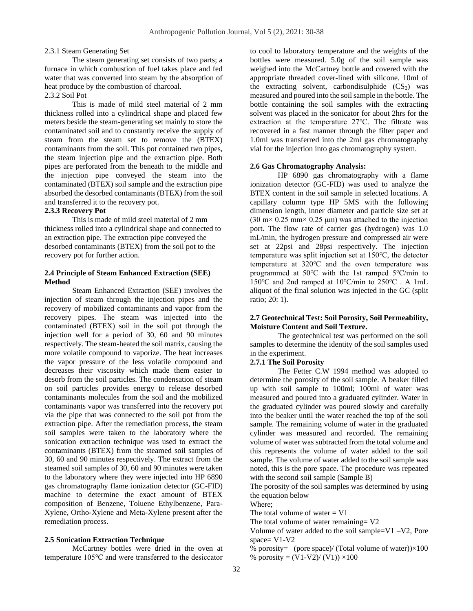# 2.3.1 Steam Generating Set

The steam generating set consists of two parts; a furnace in which combustion of fuel takes place and fed water that was converted into steam by the absorption of heat produce by the combustion of charcoal.

# 2.3.2 Soil Pot

This is made of mild steel material of 2 mm thickness rolled into a cylindrical shape and placed few meters beside the steam-generating set mainly to store the contaminated soil and to constantly receive the supply of steam from the steam set to remove the (BTEX) contaminants from the soil. This pot contained two pipes, the steam injection pipe and the extraction pipe. Both pipes are perforated from the beneath to the middle and the injection pipe conveyed the steam into the contaminated (BTEX) soil sample and the extraction pipe absorbed the desorbed contaminants (BTEX) from the soil and transferred it to the recovery pot.

### **2.3.3 Recovery Pot**

This is made of mild steel material of 2 mm thickness rolled into a cylindrical shape and connected to an extraction pipe. The extraction pipe conveyed the desorbed contaminants (BTEX) from the soil pot to the recovery pot for further action.

#### **2.4 Principle of Steam Enhanced Extraction (SEE) Method**

Steam Enhanced Extraction (SEE) involves the injection of steam through the injection pipes and the recovery of mobilized contaminants and vapor from the recovery pipes. The steam was injected into the contaminated (BTEX) soil in the soil pot through the injection well for a period of 30, 60 and 90 minutes respectively. The steam-heated the soil matrix, causing the more volatile compound to vaporize. The heat increases the vapor pressure of the less volatile compound and decreases their viscosity which made them easier to desorb from the soil particles. The condensation of steam on soil particles provides energy to release desorbed contaminants molecules from the soil and the mobilized contaminants vapor was transferred into the recovery pot via the pipe that was connected to the soil pot from the extraction pipe. After the remediation process, the steam soil samples were taken to the laboratory where the sonication extraction technique was used to extract the contaminants (BTEX) from the steamed soil samples of 30, 60 and 90 minutes respectively. The extract from the steamed soil samples of 30, 60 and 90 minutes were taken to the laboratory where they were injected into HP 6890 gas chromatography flame ionization detector (GC-FID) machine to determine the exact amount of BTEX composition of Benzene, Toluene Ethylbenzene, Para-Xylene, Ortho-Xylene and Meta-Xylene present after the remediation process.

#### **2.5 Sonication Extraction Technique**

McCartney bottles were dried in the oven at temperature 105℃ and were transferred to the desiccator to cool to laboratory temperature and the weights of the bottles were measured. 5.0g of the soil sample was weighed into the McCartney bottle and covered with the appropriate threaded cover-lined with silicone. 10ml of the extracting solvent, carbondisulphide  $(CS_2)$  was measured and poured into the soil sample in the bottle. The bottle containing the soil samples with the extracting solvent was placed in the sonicator for about 2hrs for the extraction at the temperature 27℃. The filtrate was recovered in a fast manner through the filter paper and 1.0ml was transferred into the 2ml gas chromatography vial for the injection into gas chromatography system.

#### **2.6 Gas Chromatography Analysis:**

HP 6890 gas chromatography with a flame ionization detector (GC-FID) was used to analyze the BTEX content in the soil sample in selected locations. A capillary column type HP 5MS with the following dimension length, inner diameter and particle size set at  $(30 \text{ m} \times 0.25 \text{ mm} \times 0.25 \text{ \mu m})$  was attached to the injection port. The flow rate of carrier gas (hydrogen) was 1.0 mL/min, the hydrogen pressure and compressed air were set at 22psi and 28psi respectively. The injection temperature was split injection set at 150℃, the detector temperature at 320℃ and the oven temperature was programmed at 50℃ with the 1st ramped 5℃/min to 150℃ and 2nd ramped at 10℃/min to 250℃ . A 1mL aliquot of the final solution was injected in the GC (split ratio; 20: 1).

# **2.7 Geotechnical Test: Soil Porosity, Soil Permeability, Moisture Content and Soil Texture.**

The geotechnical test was performed on the soil samples to determine the identity of the soil samples used in the experiment.

#### **2.7.1 The Soil Porosity**

The Fetter C.W 1994 method was adopted to determine the porosity of the soil sample. A beaker filled up with soil sample to 100ml; 100ml of water was measured and poured into a graduated cylinder. Water in the graduated cylinder was poured slowly and carefully into the beaker until the water reached the top of the soil sample. The remaining volume of water in the graduated cylinder was measured and recorded. The remaining volume of water was subtracted from the total volume and this represents the volume of water added to the soil sample. The volume of water added to the soil sample was noted, this is the pore space. The procedure was repeated with the second soil sample (Sample B)

The porosity of the soil samples was determined by using the equation below

Where;

The total volume of water  $= V1$ 

The total volume of water remaining =  $V2$ 

Volume of water added to the soil sample=V1 –V2, Pore space=  $V1-V2$ 

% porosity= (pore space)/ (Total volume of water)) $\times 100$ % porosity =  $(V1-V2)/(V1)$ ) ×100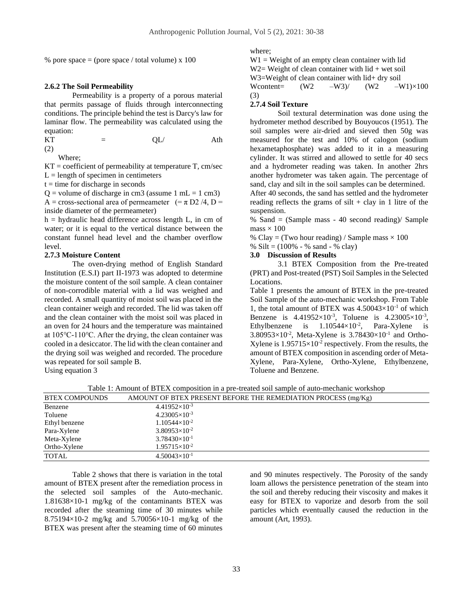% pore space  $=$  (pore space / total volume) x 100

#### **2.6.2 The Soil Permeability**

Permeability is a property of a porous material that permits passage of fluids through interconnecting conditions. The principle behind the test is Darcy's law for laminar flow. The permeability was calculated using the equation:

KT 
$$
=
$$
 QL/  
(2) Ath

Where;

 $KT = coefficient of permeability at temperature T, cm/sec$  $L =$  length of specimen in centimeters

 $t =$  time for discharge in seconds

 $Q =$  volume of discharge in cm3 (assume 1 mL = 1 cm3) A = cross-sectional area of permeameter  $(=\pi D2/4, D=$ inside diameter of the permeameter)

 $h = hydraulic$  head difference across length L, in cm of water; or it is equal to the vertical distance between the constant funnel head level and the chamber overflow level.

#### **2.7.3 Moisture Content**

The oven-drying method of English Standard Institution (E.S.I) part II-1973 was adopted to determine the moisture content of the soil sample. A clean container of non-corrodible material with a lid was weighed and recorded. A small quantity of moist soil was placed in the clean container weigh and recorded. The lid was taken off and the clean container with the moist soil was placed in an oven for 24 hours and the temperature was maintained at 105℃-110℃. After the drying, the clean container was cooled in a desiccator. The lid with the clean container and the drying soil was weighed and recorded. The procedure was repeated for soil sample B.

Using equation 3

where;

 $W1 = Weight of an empty clean container with lid$  $W2=$  Weight of clean container with lid + wet soil W3=Weight of clean container with lid+ dry soil Wcontent=  $(W2 - W3)$ /  $(W2 - W1) \times 100$ (3)

# **2.7.4 Soil Texture**

Soil textural determination was done using the hydrometer method described by Bouyoucos (1951). The soil samples were air-dried and sieved then 50g was measured for the test and 10% of calogon (sodium hexametaphosphate) was added to it in a measuring cylinder. It was stirred and allowed to settle for 40 secs and a hydrometer reading was taken. In another 2hrs another hydrometer was taken again. The percentage of sand, clay and silt in the soil samples can be determined.

After 40 seconds, the sand has settled and the hydrometer reading reflects the grams of silt  $+$  clay in 1 litre of the suspension.

% Sand = (Sample mass - 40 second reading)/ Sample  $mass \times 100$ 

% Clay = (Two hour reading) / Sample mass  $\times$  100

% Silt =  $(100\% - \% \text{ sand} - \% \text{ clay})$ 

# **3.0 Discussion of Results**

3.1 BTEX Composition from the Pre-treated (PRT) and Post-treated (PST) Soil Samples in the Selected Locations.

Table 1 presents the amount of BTEX in the pre-treated Soil Sample of the auto-mechanic workshop. From Table 1, the total amount of BTEX was  $4.50043\times10^{-1}$  of which Benzene is  $4.41952 \times 10^{-3}$ , Toluene is  $4.23005 \times 10^{-3}$ , Ethylbenzene is  $1.10544 \times 10^{-2}$ , Para-Xylene is  $3.80953\times10^{-2}$ , Meta-Xylene is  $3.78430\times10^{-1}$  and Ortho-Xylene is  $1.95715 \times 10^{-2}$  respectively. From the results, the amount of BTEX composition in ascending order of Meta-Xylene, Para-Xylene, Ortho-Xylene, Ethylbenzene, Toluene and Benzene.

Table 1: Amount of BTEX composition in a pre-treated soil sample of auto-mechanic workshop

| <b>BTEX COMPOUNDS</b> | AMOUNT OF BTEX PRESENT BEFORE THE REMEDIATION PROCESS (mg/Kg) |  |
|-----------------------|---------------------------------------------------------------|--|
| Benzene               | $4.41952\times10^{-3}$                                        |  |
| Toluene               | $4.23005\times10^{-3}$                                        |  |
| Ethyl benzene         | $1.10544\times10^{-2}$                                        |  |
| Para-Xylene           | $3.80953\times10^{-2}$                                        |  |
| Meta-Xylene           | $3.78430\times10^{-1}$                                        |  |
| Ortho-Xylene          | $1.95715\times10^{-2}$                                        |  |
| <b>TOTAL</b>          | $4.50043\times10^{-1}$                                        |  |
|                       |                                                               |  |

Table 2 shows that there is variation in the total amount of BTEX present after the remediation process in the selected soil samples of the Auto-mechanic. 1.81638×10-1 mg/kg of the contaminants BTEX was recorded after the steaming time of 30 minutes while 8.75194×10-2 mg/kg and 5.70056×10-1 mg/kg of the BTEX was present after the steaming time of 60 minutes

and 90 minutes respectively. The Porosity of the sandy loam allows the persistence penetration of the steam into the soil and thereby reducing their viscosity and makes it easy for BTEX to vaporize and desorb from the soil particles which eventually caused the reduction in the amount (Art, 1993).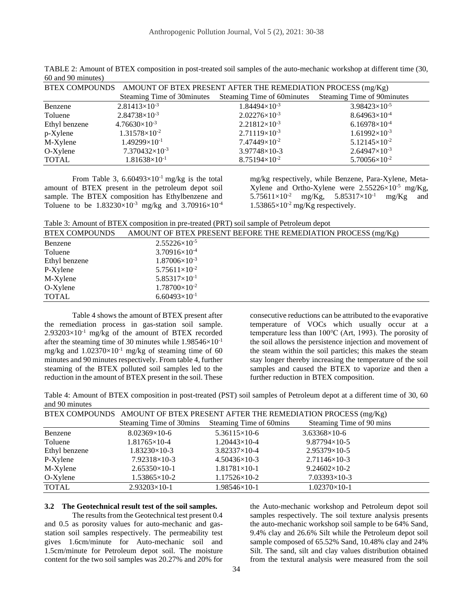| BTEX COMPOUNDS AMOUNT OF BTEX PRESENT AFTER THE REMEDIATION PROCESS (mg/Kg) |                         |                                                                                  |                        |  |
|-----------------------------------------------------------------------------|-------------------------|----------------------------------------------------------------------------------|------------------------|--|
|                                                                             |                         | Steaming Time of 30minutes Steaming Time of 60minutes Steaming Time of 90minutes |                        |  |
| Benzene                                                                     | $2.81413\times10^{-3}$  | $1.84494\times10^{-3}$                                                           | $3.98423\times10^{-5}$ |  |
| Toluene                                                                     | $2.84738\times10^{-3}$  | $2.02276\times10^{-3}$                                                           | $8.64963\times10^{-4}$ |  |
| Ethyl benzene                                                               | $4.76630\times10^{-3}$  | $2.21812\times10^{-3}$                                                           | $6.16978\times10^{-4}$ |  |
| p-Xylene                                                                    | $1.31578\times10^{-2}$  | $2.71119\times10^{-3}$                                                           | $1.61992\times10^{-3}$ |  |
| M-Xylene                                                                    | $1.49299\times10^{-1}$  | $7.47449\times10^{-2}$                                                           | $5.12145\times10^{-2}$ |  |
| $O-X$ ylene                                                                 | $7.370432\times10^{-3}$ | 3.97748×10-3                                                                     | $2.64947\times10^{-3}$ |  |
| <b>TOTAL</b>                                                                | $1.81638\times10^{-1}$  | $8.75194\times10^{-2}$                                                           | $5.70056\times10^{-2}$ |  |

TABLE 2: Amount of BTEX composition in post-treated soil samples of the auto-mechanic workshop at different time (30, 60 and 90 minutes)

From Table 3,  $6.60493 \times 10^{-1}$  mg/kg is the total amount of BTEX present in the petroleum depot soil sample. The BTEX composition has Ethylbenzene and Toluene to be  $1.83230\times10^{-3}$  mg/kg and  $3.70916\times10^{-4}$  mg/kg respectively, while Benzene, Para-Xylene, Meta-Xylene and Ortho-Xylene were  $2.55226\times10^{-5}$  mg/Kg,  $5.75611\times10^{-2}$  mg/Kg,  $5.85317\times10^{-1}$  mg/Kg and  $1.53865\times10^{-2}$  mg/Kg respectively.

Table 3: Amount of BTEX composition in pre-treated (PRT) soil sample of Petroleum depot

| <b>BTEX COMPOUNDS</b> | AMOUNT OF BTEX PRESENT BEFORE THE REMEDIATION PROCESS (mg/Kg) |
|-----------------------|---------------------------------------------------------------|
| Benzene               | $2.55226\times10^{-5}$                                        |
| Toluene               | $3.70916\times10^{-4}$                                        |
| Ethyl benzene         | $1.87006\times10^{-3}$                                        |
| P-Xylene              | $5.75611\times10^{-2}$                                        |
| M-Xylene              | $5.85317\times10^{-1}$                                        |
| $O-X$ ylene           | $1.78700\times10^{-2}$                                        |
| <b>TOTAL</b>          | $6.60493\times10^{-1}$                                        |

Table 4 shows the amount of BTEX present after the remediation process in gas-station soil sample.  $2.93203\times10^{-1}$  mg/kg of the amount of BTEX recorded after the steaming time of 30 minutes while  $1.98546\times10^{-1}$ mg/kg and  $1.02370\times10^{-1}$  mg/kg of steaming time of 60 minutes and 90 minutes respectively. From table 4, further steaming of the BTEX polluted soil samples led to the reduction in the amount of BTEX present in the soil. These

consecutive reductions can be attributed to the evaporative temperature of VOCs which usually occur at a temperature less than 100℃ (Art, 1993). The porosity of the soil allows the persistence injection and movement of the steam within the soil particles; this makes the steam stay longer thereby increasing the temperature of the soil samples and caused the BTEX to vaporize and then a further reduction in BTEX composition.

Table 4: Amount of BTEX composition in post-treated (PST) soil samples of Petroleum depot at a different time of 30, 60 and 90 minutes

|               | BTEX COMPOUNDS AMOUNT OF BTEX PRESENT AFTER THE REMEDIATION PROCESS (mg/Kg) |                                                 |                          |  |
|---------------|-----------------------------------------------------------------------------|-------------------------------------------------|--------------------------|--|
|               |                                                                             | Steaming Time of 30mins Steaming Time of 60mins | Steaming Time of 90 mins |  |
| Benzene       | $8.02369\times10-6$                                                         | $5.36115\times10-6$                             | $3.63368\times10-6$      |  |
| Toluene       | $1.81765\times10-4$                                                         | $1.20443\times10-4$                             | $9.87794\times10-5$      |  |
| Ethyl benzene | $1.83230\times10-3$                                                         | $3.82337\times10-4$                             | $2.95379\times10-5$      |  |
| P-Xylene      | $7.92318\times10-3$                                                         | $4.50436\times10-3$                             | $2.71146\times10-3$      |  |
| M-Xylene      | $2.65350\times10-1$                                                         | $1.81781\times10-1$                             | $9.24602\times10-2$      |  |
| O-Xylene      | $1.53865 \times 10^{-2}$                                                    | $1.17526\times10-2$                             | $7.03393\times10-3$      |  |
| <b>TOTAL</b>  | $2.93203\times10-1$                                                         | $1.98546\times10-1$                             | $1.02370\times10-1$      |  |

#### **3.2 The Geotechnical result test of the soil samples.**

The results from the Geotechnical test present 0.4 and 0.5 as porosity values for auto-mechanic and gasstation soil samples respectively. The permeability test gives 1.6cm/minute for Auto-mechanic soil and 1.5cm/minute for Petroleum depot soil. The moisture content for the two soil samples was 20.27% and 20% for the Auto-mechanic workshop and Petroleum depot soil samples respectively. The soil texture analysis presents the auto-mechanic workshop soil sample to be 64% Sand, 9.4% clay and 26.6% Silt while the Petroleum depot soil sample composed of 65.52% Sand, 10.48% clay and 24% Silt. The sand, silt and clay values distribution obtained from the textural analysis were measured from the soil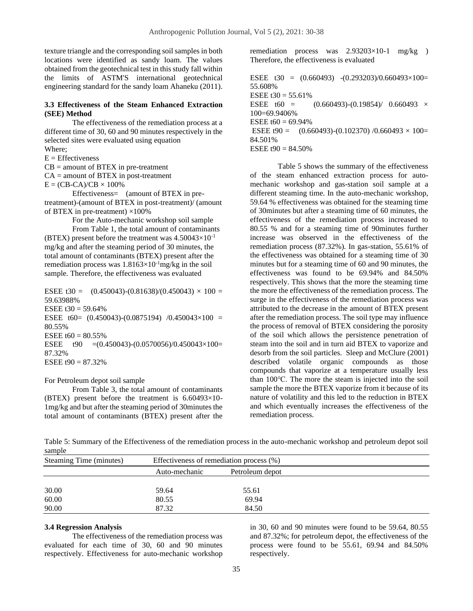texture triangle and the corresponding soil samples in both locations were identified as sandy loam. The values obtained from the geotechnical test in this study fall within the limits of ASTM'S international geotechnical engineering standard for the sandy loam Ahaneku (2011).

#### **3.3 Effectiveness of the Steam Enhanced Extraction (SEE) Method**

The effectiveness of the remediation process at a different time of 30, 60 and 90 minutes respectively in the selected sites were evaluated using equation Where;

 $E =$  Effectiveness

 $CB =$  amount of BTEX in pre-treatment

 $CA =$  amount of BTEX in post-treatment

 $E = (CB-CA)/CB \times 100\%$ 

Effectiveness= (amount of BTEX in pretreatment)-(amount of BTEX in post-treatment)/ (amount of BTEX in pre-treatment)  $\times$ 100%

For the Auto-mechanic workshop soil sample

From Table 1, the total amount of contaminants (BTEX) present before the treatment was  $4.50043\times10^{-1}$ mg/kg and after the steaming period of 30 minutes, the total amount of contaminants (BTEX) present after the remediation process was  $1.8163 \times 10^{-1}$ mg/kg in the soil sample. Therefore, the effectiveness was evaluated

ESEE t30 =  $(0.450043)-(0.81638)/(0.450043) \times 100 =$ 59.63988% ESEE  $t30 = 59.64\%$ ESEE t60= (0.450043)-(0.0875194) /0.450043×100 = 80.55% ESEE  $t60 = 80.55\%$ ESEE  $t90 = (0.450043)-(0.0570056)/0.450043\times100=$ 87.32% ESEE  $t90 = 87.32\%$ 

For Petroleum depot soil sample

From Table 3, the total amount of contaminants (BTEX) present before the treatment is 6.60493×10- 1mg/kg and but after the steaming period of 30minutes the total amount of contaminants (BTEX) present after the

remediation process was 2.93203×10-1 mg/kg ) Therefore, the effectiveness is evaluated

ESEE  $t30 = (0.660493) - (0.293203)/0.660493 \times 100 =$ 55.608% ESEE  $t30 = 55.61\%$ ESEE t60 =  $(0.660493)-(0.19854)/0.660493 \times$ 100=69.9406% ESEE  $t60 = 69.94\%$ ESEE t90 =  $(0.660493)-(0.102370)$  /0.660493  $\times$  100= 84.501% ESEE  $t90 = 84.50\%$ 

Table 5 shows the summary of the effectiveness of the steam enhanced extraction process for automechanic workshop and gas-station soil sample at a different steaming time. In the auto-mechanic workshop, 59.64 % effectiveness was obtained for the steaming time of 30minutes but after a steaming time of 60 minutes, the effectiveness of the remediation process increased to 80.55 % and for a steaming time of 90minutes further increase was observed in the effectiveness of the remediation process (87.32%). In gas-station, 55.61% of the effectiveness was obtained for a steaming time of 30 minutes but for a steaming time of 60 and 90 minutes, the effectiveness was found to be 69.94% and 84.50% respectively. This shows that the more the steaming time the more the effectiveness of the remediation process. The surge in the effectiveness of the remediation process was attributed to the decrease in the amount of BTEX present after the remediation process. The soil type may influence the process of removal of BTEX considering the porosity of the soil which allows the persistence penetration of steam into the soil and in turn aid BTEX to vaporize and desorb from the soil particles. Sleep and McClure (2001) described volatile organic compounds as those compounds that vaporize at a temperature usually less than 100℃. The more the steam is injected into the soil sample the more the BTEX vaporize from it because of its nature of volatility and this led to the reduction in BTEX and which eventually increases the effectiveness of the remediation process.

Table 5: Summary of the Effectiveness of the remediation process in the auto-mechanic workshop and petroleum depot soil sample

| Steaming Time (minutes) | Effectiveness of remediation process (%) |                 |  |
|-------------------------|------------------------------------------|-----------------|--|
|                         | Auto-mechanic                            | Petroleum depot |  |
|                         |                                          |                 |  |
| 30.00                   | 59.64                                    | 55.61           |  |
| 60.00                   | 80.55                                    | 69.94           |  |
| 90.00                   | 87.32                                    | 84.50           |  |

#### **3.4 Regression Analysis**

The effectiveness of the remediation process was evaluated for each time of 30, 60 and 90 minutes respectively. Effectiveness for auto-mechanic workshop

in 30, 60 and 90 minutes were found to be 59.64, 80.55 and 87.32%; for petroleum depot, the effectiveness of the process were found to be 55.61, 69.94 and 84.50% respectively.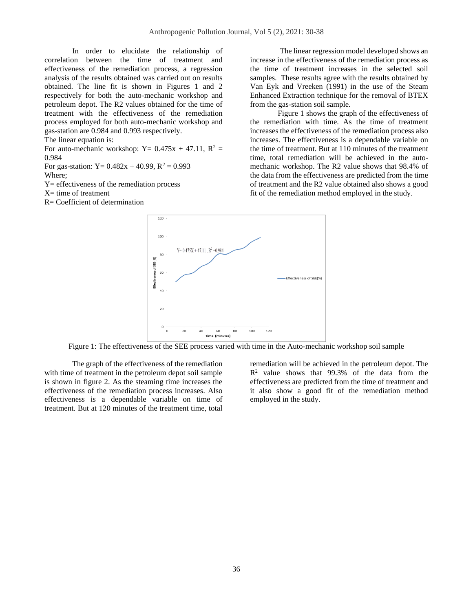In order to elucidate the relationship of correlation between the time of treatment and effectiveness of the remediation process, a regression analysis of the results obtained was carried out on results obtained. The line fit is shown in Figures 1 and 2 respectively for both the auto-mechanic workshop and petroleum depot. The R2 values obtained for the time of treatment with the effectiveness of the remediation process employed for both auto-mechanic workshop and gas-station are 0.984 and 0.993 respectively.

The linear equation is:

For auto-mechanic workshop:  $Y = 0.475x + 47.11$ ,  $R^2 =$ 0.984

For gas-station:  $Y = 0.482x + 40.99$ ,  $R^2 = 0.993$ Where;

Y= effectiveness of the remediation process

 $X=$  time of treatment

R= Coefficient of determination

The linear regression model developed shows an increase in the effectiveness of the remediation process as the time of treatment increases in the selected soil samples. These results agree with the results obtained by Van Eyk and Vreeken (1991) in the use of the Steam Enhanced Extraction technique for the removal of BTEX from the gas-station soil sample.

Figure 1 shows the graph of the effectiveness of the remediation with time. As the time of treatment increases the effectiveness of the remediation process also increases. The effectiveness is a dependable variable on the time of treatment. But at 110 minutes of the treatment time, total remediation will be achieved in the automechanic workshop. The R2 value shows that 98.4% of the data from the effectiveness are predicted from the time of treatment and the R2 value obtained also shows a good fit of the remediation method employed in the study.



Figure 1: The effectiveness of the SEE process varied with time in the Auto-mechanic workshop soil sample

The graph of the effectiveness of the remediation with time of treatment in the petroleum depot soil sample is shown in figure 2. As the steaming time increases the effectiveness of the remediation process increases. Also effectiveness is a dependable variable on time of treatment. But at 120 minutes of the treatment time, total

remediation will be achieved in the petroleum depot. The  $R<sup>2</sup>$  value shows that 99.3% of the data from the effectiveness are predicted from the time of treatment and it also show a good fit of the remediation method employed in the study.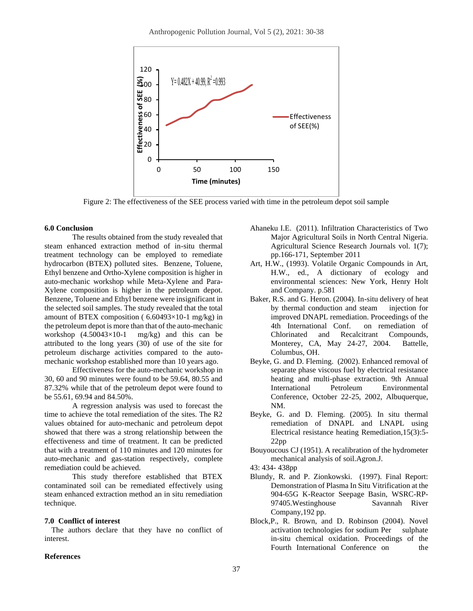

Figure 2: The effectiveness of the SEE process varied with time in the petroleum depot soil sample

#### **6.0 Conclusion**

The results obtained from the study revealed that steam enhanced extraction method of in-situ thermal treatment technology can be employed to remediate hydrocarbon (BTEX) polluted sites. Benzene, Toluene, Ethyl benzene and Ortho-Xylene composition is higher in auto-mechanic workshop while Meta-Xylene and Para-Xylene composition is higher in the petroleum depot. Benzene, Toluene and Ethyl benzene were insignificant in the selected soil samples. The study revealed that the total amount of BTEX composition ( $6.60493\times10-1$  mg/kg) in the petroleum depot is more than that of the auto-mechanic workshop (4.50043×10-1 mg/kg) and this can be attributed to the long years (30) of use of the site for petroleum discharge activities compared to the automechanic workshop established more than 10 years ago.

Effectiveness for the auto-mechanic workshop in 30, 60 and 90 minutes were found to be 59.64, 80.55 and 87.32% while that of the petroleum depot were found to be 55.61, 69.94 and 84.50%.

A regression analysis was used to forecast the time to achieve the total remediation of the sites. The R2 values obtained for auto-mechanic and petroleum depot showed that there was a strong relationship between the effectiveness and time of treatment. It can be predicted that with a treatment of 110 minutes and 120 minutes for auto-mechanic and gas-station respectively, complete remediation could be achieved.

This study therefore established that BTEX contaminated soil can be remediated effectively using steam enhanced extraction method an in situ remediation technique.

#### **7.0 Conflict of interest**

The authors declare that they have no conflict of interest.

# **References**

- Ahaneku I.E. (2011). Infiltration Characteristics of Two Major Agricultural Soils in North Central Nigeria. Agricultural Science Research Journals vol. 1(7); pp.166-171, September 2011
- Art, H.W., (1993). Volatile Organic Compounds in Art, H.W., ed., A dictionary of ecology and environmental sciences: New York, Henry Holt and Company. p.581
- Baker, R.S. and G. Heron. (2004). In-situ delivery of heat by thermal conduction and steam injection for improved DNAPL remediation. Proceedings of the 4th International Conf. on remediation of Chlorinated and Recalcitrant Compounds, Monterey, CA, May 24-27, 2004. Battelle, Columbus, OH.
- Beyke, G. and D. Fleming. (2002). Enhanced removal of separate phase viscous fuel by electrical resistance heating and multi-phase extraction. 9th Annual International Petroleum Environmental Conference, October 22-25, 2002, Albuquerque, NM.
- Beyke, G. and D. Fleming. (2005). In situ thermal remediation of DNAPL and LNAPL using Electrical resistance heating Remediation,15(3):5- 22pp

Bouyoucous CJ (1951). A recalibration of the hydrometer mechanical analysis of soil.Agron.J.

43: 434- 438pp

- Blundy, R. and P. Zionkowski. (1997). Final Report: Demonstration of Plasma In Situ Vitrification at the 904-65G K-Reactor Seepage Basin, WSRC-RP-97405.Westinghouse Savannah River Company,192 pp.
- Block,P., R. Brown, and D. Robinson (2004). Novel activation technologies for sodium Per sulphate in-situ chemical oxidation. Proceedings of the Fourth International Conference on the